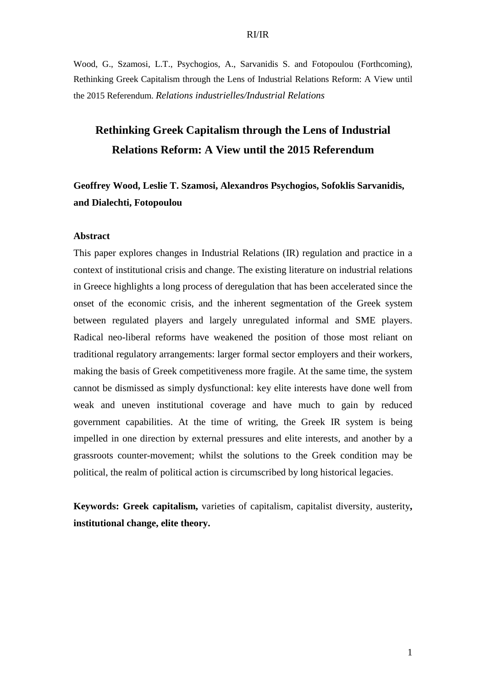Wood, G., Szamosi, L.T., Psychogios, A., Sarvanidis S. and Fotopoulou (Forthcoming), Rethinking Greek Capitalism through the Lens of Industrial Relations Reform: A View until the 2015 Referendum. *Relations industrielles/Industrial Relations*

# **Rethinking Greek Capitalism through the Lens of Industrial Relations Reform: A View until the 2015 Referendum**

**Geoffrey Wood, Leslie T. Szamosi, Alexandros Psychogios, Sofoklis Sarvanidis, and Dialechti, Fotopoulou** 

## **Abstract**

This paper explores changes in Industrial Relations (IR) regulation and practice in a context of institutional crisis and change. The existing literature on industrial relations in Greece highlights a long process of deregulation that has been accelerated since the onset of the economic crisis, and the inherent segmentation of the Greek system between regulated players and largely unregulated informal and SME players. Radical neo-liberal reforms have weakened the position of those most reliant on traditional regulatory arrangements: larger formal sector employers and their workers, making the basis of Greek competitiveness more fragile. At the same time, the system cannot be dismissed as simply dysfunctional: key elite interests have done well from weak and uneven institutional coverage and have much to gain by reduced government capabilities. At the time of writing, the Greek IR system is being impelled in one direction by external pressures and elite interests, and another by a grassroots counter-movement; whilst the solutions to the Greek condition may be political, the realm of political action is circumscribed by long historical legacies.

**Keywords: Greek capitalism,** varieties of capitalism, capitalist diversity, austerity**, institutional change, elite theory.**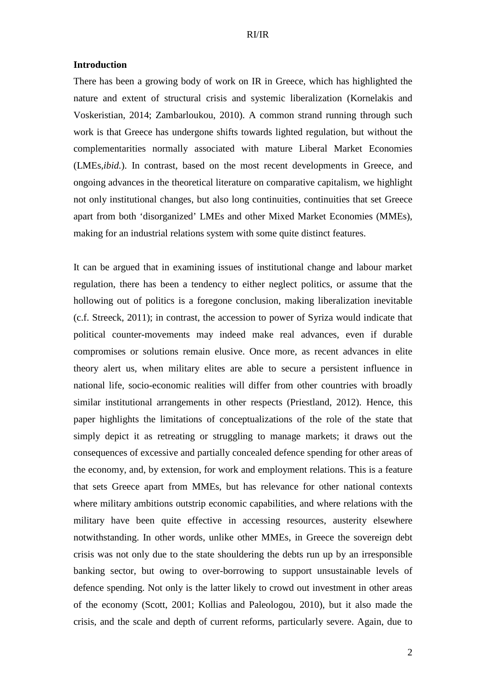#### **Introduction**

There has been a growing body of work on IR in Greece, which has highlighted the nature and extent of structural crisis and systemic liberalization (Kornelakis and Voskeristian, 2014; Zambarloukou, 2010). A common strand running through such work is that Greece has undergone shifts towards lighted regulation, but without the complementarities normally associated with mature Liberal Market Economies (LMEs,*ibid.*). In contrast, based on the most recent developments in Greece, and ongoing advances in the theoretical literature on comparative capitalism, we highlight not only institutional changes, but also long continuities, continuities that set Greece apart from both 'disorganized' LMEs and other Mixed Market Economies (MMEs), making for an industrial relations system with some quite distinct features.

It can be argued that in examining issues of institutional change and labour market regulation, there has been a tendency to either neglect politics, or assume that the hollowing out of politics is a foregone conclusion, making liberalization inevitable (c.f. Streeck, 2011); in contrast, the accession to power of Syriza would indicate that political counter-movements may indeed make real advances, even if durable compromises or solutions remain elusive. Once more, as recent advances in elite theory alert us, when military elites are able to secure a persistent influence in national life, socio-economic realities will differ from other countries with broadly similar institutional arrangements in other respects (Priestland, 2012). Hence, this paper highlights the limitations of conceptualizations of the role of the state that simply depict it as retreating or struggling to manage markets; it draws out the consequences of excessive and partially concealed defence spending for other areas of the economy, and, by extension, for work and employment relations. This is a feature that sets Greece apart from MMEs, but has relevance for other national contexts where military ambitions outstrip economic capabilities, and where relations with the military have been quite effective in accessing resources, austerity elsewhere notwithstanding. In other words, unlike other MMEs, in Greece the sovereign debt crisis was not only due to the state shouldering the debts run up by an irresponsible banking sector, but owing to over-borrowing to support unsustainable levels of defence spending. Not only is the latter likely to crowd out investment in other areas of the economy (Scott, 2001; Kollias and Paleologou, 2010), but it also made the crisis, and the scale and depth of current reforms, particularly severe. Again, due to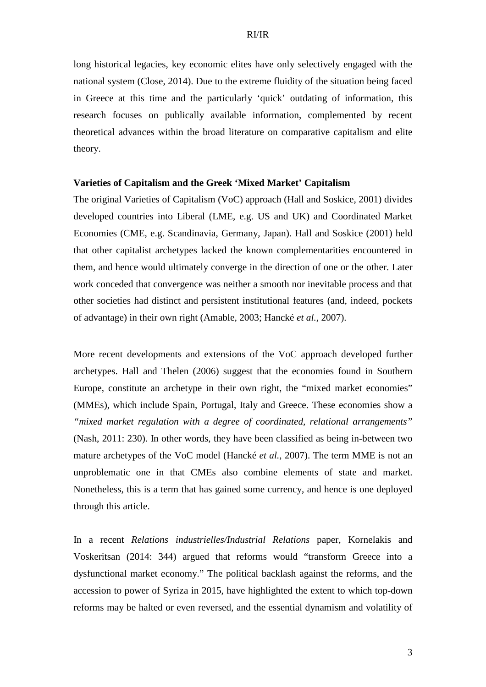long historical legacies, key economic elites have only selectively engaged with the national system (Close, 2014). Due to the extreme fluidity of the situation being faced in Greece at this time and the particularly 'quick' outdating of information, this research focuses on publically available information, complemented by recent theoretical advances within the broad literature on comparative capitalism and elite theory.

## **Varieties of Capitalism and the Greek 'Mixed Market' Capitalism**

The original Varieties of Capitalism (VoC) approach (Hall and Soskice, 2001) divides developed countries into Liberal (LME, e.g. US and UK) and Coordinated Market Economies (CME, e.g. Scandinavia, Germany, Japan). Hall and Soskice (2001) held that other capitalist archetypes lacked the known complementarities encountered in them, and hence would ultimately converge in the direction of one or the other. Later work conceded that convergence was neither a smooth nor inevitable process and that other societies had distinct and persistent institutional features (and, indeed, pockets of advantage) in their own right (Amable, 2003; Hancké *et al.*, 2007).

More recent developments and extensions of the VoC approach developed further archetypes. Hall and Thelen (2006) suggest that the economies found in Southern Europe, constitute an archetype in their own right, the "mixed market economies" (MMEs), which include Spain, Portugal, Italy and Greece. These economies show a *"mixed market regulation with a degree of coordinated, relational arrangements"* (Nash, 2011: 230). In other words, they have been classified as being in-between two mature archetypes of the VoC model (Hancké *et al.*, 2007). The term MME is not an unproblematic one in that CMEs also combine elements of state and market. Nonetheless, this is a term that has gained some currency, and hence is one deployed through this article.

In a recent *Relations industrielles/Industrial Relations* paper, Kornelakis and Voskeritsan (2014: 344) argued that reforms would "transform Greece into a dysfunctional market economy." The political backlash against the reforms, and the accession to power of Syriza in 2015, have highlighted the extent to which top-down reforms may be halted or even reversed, and the essential dynamism and volatility of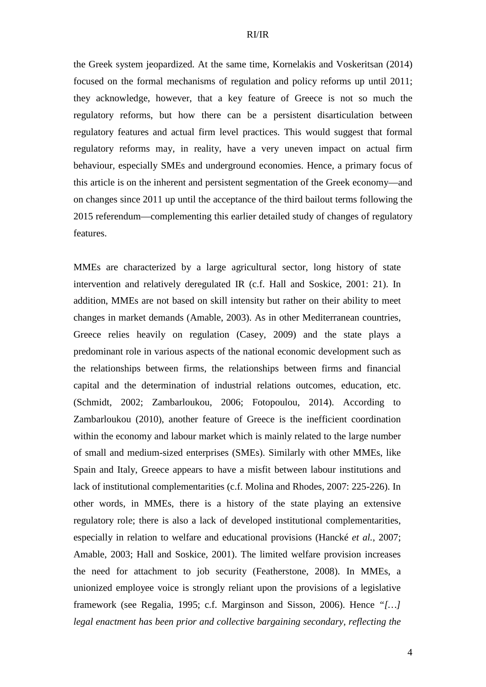the Greek system jeopardized. At the same time, Kornelakis and Voskeritsan (2014) focused on the formal mechanisms of regulation and policy reforms up until 2011; they acknowledge, however, that a key feature of Greece is not so much the regulatory reforms, but how there can be a persistent disarticulation between regulatory features and actual firm level practices. This would suggest that formal regulatory reforms may, in reality, have a very uneven impact on actual firm behaviour, especially SMEs and underground economies. Hence, a primary focus of this article is on the inherent and persistent segmentation of the Greek economy—and on changes since 2011 up until the acceptance of the third bailout terms following the 2015 referendum—complementing this earlier detailed study of changes of regulatory features.

MMEs are characterized by a large agricultural sector, long history of state intervention and relatively deregulated IR (c.f. Hall and Soskice, 2001: 21). In addition, MMEs are not based on skill intensity but rather on their ability to meet changes in market demands (Amable, 2003). As in other Mediterranean countries, Greece relies heavily on regulation (Casey, 2009) and the state plays a predominant role in various aspects of the national economic development such as the relationships between firms, the relationships between firms and financial capital and the determination of industrial relations outcomes, education, etc. (Schmidt, 2002; Zambarloukou, 2006; Fotopoulou, 2014). According to Zambarloukou (2010), another feature of Greece is the inefficient coordination within the economy and labour market which is mainly related to the large number of small and medium-sized enterprises (SMEs). Similarly with other MMEs, like Spain and Italy, Greece appears to have a misfit between labour institutions and lack of institutional complementarities (c.f. Molina and Rhodes, 2007: 225-226). In other words, in MMEs, there is a history of the state playing an extensive regulatory role; there is also a lack of developed institutional complementarities, especially in relation to welfare and educational provisions (Hancké *et al.*, 2007; Amable, 2003; Hall and Soskice, 2001). The limited welfare provision increases the need for attachment to job security (Featherstone, 2008). In MMEs, a unionized employee voice is strongly reliant upon the provisions of a legislative framework (see Regalia, 1995; c.f. Marginson and Sisson, 2006). Hence *"[…] legal enactment has been prior and collective bargaining secondary, reflecting the*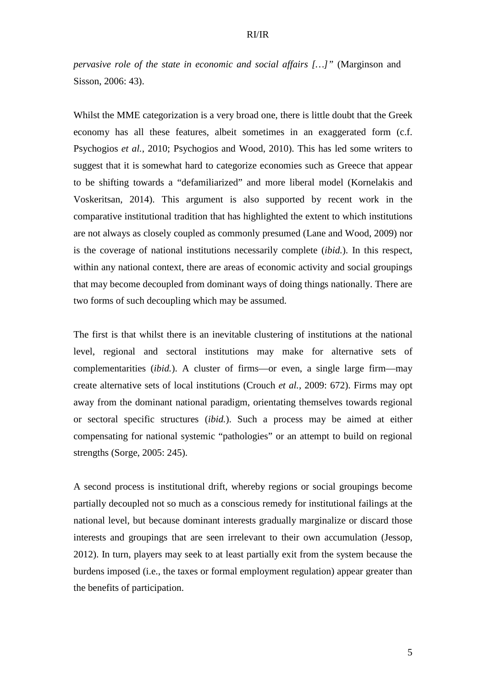*pervasive role of the state in economic and social affairs […]*" (Marginson and Sisson, 2006: 43).

Whilst the MME categorization is a very broad one, there is little doubt that the Greek economy has all these features, albeit sometimes in an exaggerated form (c.f. Psychogios *et al.*, 2010; Psychogios and Wood, 2010). This has led some writers to suggest that it is somewhat hard to categorize economies such as Greece that appear to be shifting towards a "defamiliarized" and more liberal model (Kornelakis and Voskeritsan, 2014). This argument is also supported by recent work in the comparative institutional tradition that has highlighted the extent to which institutions are not always as closely coupled as commonly presumed (Lane and Wood, 2009) nor is the coverage of national institutions necessarily complete (*ibid.*). In this respect, within any national context, there are areas of economic activity and social groupings that may become decoupled from dominant ways of doing things nationally. There are two forms of such decoupling which may be assumed.

The first is that whilst there is an inevitable clustering of institutions at the national level, regional and sectoral institutions may make for alternative sets of complementarities (*ibid.*). A cluster of firms—or even, a single large firm—may create alternative sets of local institutions (Crouch *et al.*, 2009: 672). Firms may opt away from the dominant national paradigm, orientating themselves towards regional or sectoral specific structures (*ibid.*). Such a process may be aimed at either compensating for national systemic "pathologies" or an attempt to build on regional strengths (Sorge, 2005: 245).

A second process is institutional drift, whereby regions or social groupings become partially decoupled not so much as a conscious remedy for institutional failings at the national level, but because dominant interests gradually marginalize or discard those interests and groupings that are seen irrelevant to their own accumulation (Jessop, 2012). In turn, players may seek to at least partially exit from the system because the burdens imposed (i.e., the taxes or formal employment regulation) appear greater than the benefits of participation.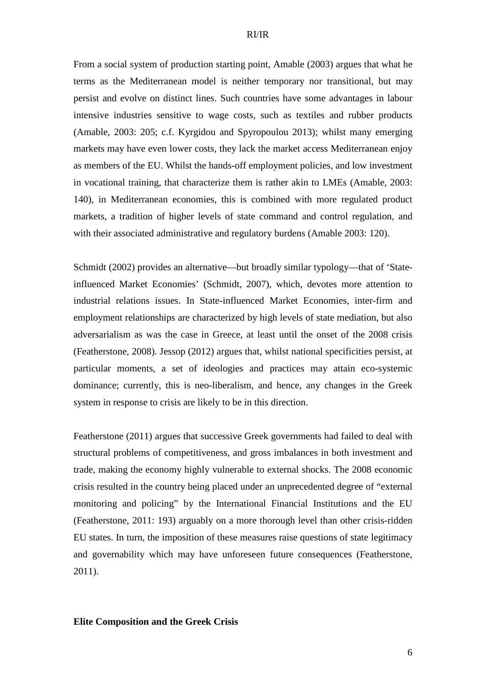From a social system of production starting point, Amable (2003) argues that what he terms as the Mediterranean model is neither temporary nor transitional, but may persist and evolve on distinct lines. Such countries have some advantages in labour intensive industries sensitive to wage costs, such as textiles and rubber products (Amable, 2003: 205; c.f. Kyrgidou and Spyropoulou 2013); whilst many emerging markets may have even lower costs, they lack the market access Mediterranean enjoy as members of the EU. Whilst the hands-off employment policies, and low investment in vocational training, that characterize them is rather akin to LMEs (Amable, 2003: 140), in Mediterranean economies, this is combined with more regulated product markets, a tradition of higher levels of state command and control regulation, and with their associated administrative and regulatory burdens (Amable 2003: 120).

Schmidt (2002) provides an alternative—but broadly similar typology—that of 'Stateinfluenced Market Economies' (Schmidt, 2007), which, devotes more attention to industrial relations issues. In State-influenced Market Economies, inter-firm and employment relationships are characterized by high levels of state mediation, but also adversarialism as was the case in Greece, at least until the onset of the 2008 crisis (Featherstone, 2008). Jessop (2012) argues that, whilst national specificities persist, at particular moments, a set of ideologies and practices may attain eco-systemic dominance; currently, this is neo-liberalism, and hence, any changes in the Greek system in response to crisis are likely to be in this direction.

Featherstone (2011) argues that successive Greek governments had failed to deal with structural problems of competitiveness, and gross imbalances in both investment and trade, making the economy highly vulnerable to external shocks. The 2008 economic crisis resulted in the country being placed under an unprecedented degree of "external monitoring and policing" by the International Financial Institutions and the EU (Featherstone, 2011: 193) arguably on a more thorough level than other crisis-ridden EU states. In turn, the imposition of these measures raise questions of state legitimacy and governability which may have unforeseen future consequences (Featherstone, 2011).

## **Elite Composition and the Greek Crisis**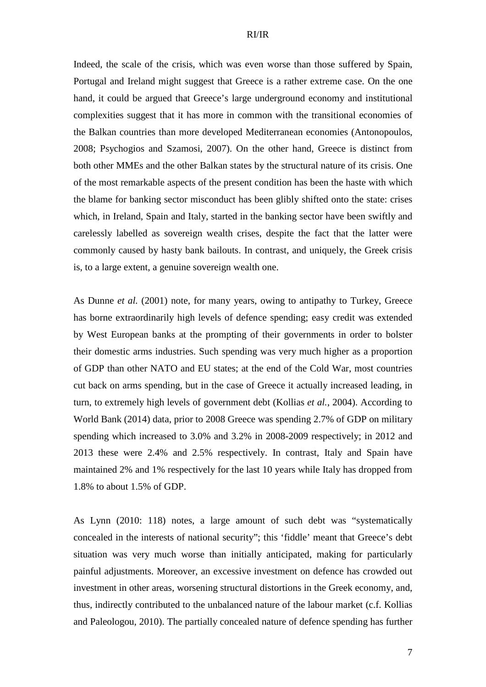Indeed, the scale of the crisis, which was even worse than those suffered by Spain, Portugal and Ireland might suggest that Greece is a rather extreme case. On the one hand, it could be argued that Greece's large underground economy and institutional complexities suggest that it has more in common with the transitional economies of the Balkan countries than more developed Mediterranean economies (Antonopoulos, 2008; Psychogios and Szamosi, 2007). On the other hand, Greece is distinct from both other MMEs and the other Balkan states by the structural nature of its crisis. One of the most remarkable aspects of the present condition has been the haste with which the blame for banking sector misconduct has been glibly shifted onto the state: crises which, in Ireland, Spain and Italy, started in the banking sector have been swiftly and carelessly labelled as sovereign wealth crises, despite the fact that the latter were commonly caused by hasty bank bailouts. In contrast, and uniquely, the Greek crisis is, to a large extent, a genuine sovereign wealth one.

As Dunne *et al.* (2001) note, for many years, owing to antipathy to Turkey, Greece has borne extraordinarily high levels of defence spending; easy credit was extended by West European banks at the prompting of their governments in order to bolster their domestic arms industries. Such spending was very much higher as a proportion of GDP than other NATO and EU states; at the end of the Cold War, most countries cut back on arms spending, but in the case of Greece it actually increased leading, in turn, to extremely high levels of government debt (Kollias *et al.*, 2004). According to World Bank (2014) data, prior to 2008 Greece was spending 2.7% of GDP on military spending which increased to 3.0% and 3.2% in 2008-2009 respectively; in 2012 and 2013 these were 2.4% and 2.5% respectively. In contrast, Italy and Spain have maintained 2% and 1% respectively for the last 10 years while Italy has dropped from 1.8% to about 1.5% of GDP.

As Lynn (2010: 118) notes, a large amount of such debt was "systematically concealed in the interests of national security"; this 'fiddle' meant that Greece's debt situation was very much worse than initially anticipated, making for particularly painful adjustments. Moreover, an excessive investment on defence has crowded out investment in other areas, worsening structural distortions in the Greek economy, and, thus, indirectly contributed to the unbalanced nature of the labour market (c.f. Kollias and Paleologou, 2010). The partially concealed nature of defence spending has further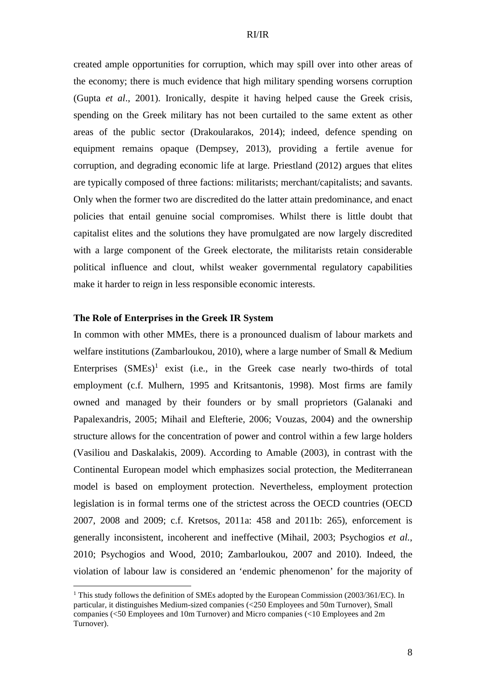created ample opportunities for corruption, which may spill over into other areas of the economy; there is much evidence that high military spending worsens corruption (Gupta *et al*., 2001). Ironically, despite it having helped cause the Greek crisis, spending on the Greek military has not been curtailed to the same extent as other areas of the public sector (Drakoularakos, 2014); indeed, defence spending on equipment remains opaque (Dempsey, 2013), providing a fertile avenue for corruption, and degrading economic life at large. Priestland (2012) argues that elites are typically composed of three factions: militarists; merchant/capitalists; and savants. Only when the former two are discredited do the latter attain predominance, and enact policies that entail genuine social compromises. Whilst there is little doubt that capitalist elites and the solutions they have promulgated are now largely discredited with a large component of the Greek electorate, the militarists retain considerable political influence and clout, whilst weaker governmental regulatory capabilities make it harder to reign in less responsible economic interests.

## **The Role of Enterprises in the Greek IR System**

 $\overline{a}$ 

In common with other MMEs, there is a pronounced dualism of labour markets and welfare institutions (Zambarloukou, 2010), where a large number of Small & Medium Enterprises  $(SMEs)^1$  exist (i.e., in the Greek case nearly two-thirds of total employment (c.f. Mulhern, 1995 and Kritsantonis, 1998). Most firms are family owned and managed by their founders or by small proprietors (Galanaki and Papalexandris, 2005; Mihail and Elefterie, 2006; Vouzas, 2004) and the ownership structure allows for the concentration of power and control within a few large holders (Vasiliou and Daskalakis, 2009). According to Amable (2003), in contrast with the Continental European model which emphasizes social protection, the Mediterranean model is based on employment protection. Nevertheless, employment protection legislation is in formal terms one of the strictest across the OECD countries (OECD 2007, 2008 and 2009; c.f. Kretsos, 2011a: 458 and 2011b: 265), enforcement is generally inconsistent, incoherent and ineffective (Mihail, 2003; Psychogios *et al.*, 2010; Psychogios and Wood, 2010; Zambarloukou, 2007 and 2010). Indeed, the violation of labour law is considered an 'endemic phenomenon' for the majority of

<sup>&</sup>lt;sup>1</sup> This study follows the definition of SMEs adopted by the European Commission (2003/361/EC). In particular, it distinguishes Medium-sized companies (<250 Employees and 50m Turnover), Small companies (<50 Employees and 10m Turnover) and Micro companies (<10 Employees and 2m Turnover).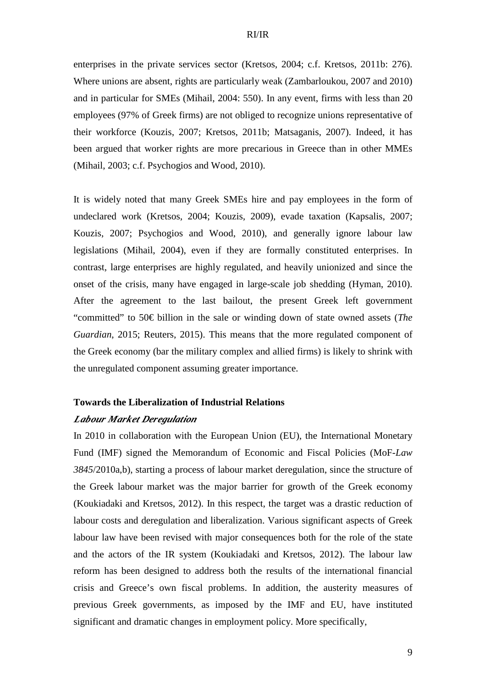enterprises in the private services sector (Kretsos, 2004; c.f. Kretsos, 2011b: 276). Where unions are absent, rights are particularly weak (Zambarloukou, 2007 and 2010) and in particular for SMEs (Mihail, 2004: 550). In any event, firms with less than 20 employees (97% of Greek firms) are not obliged to recognize unions representative of their workforce (Kouzis, 2007; Kretsos, 2011b; Matsaganis, 2007). Indeed, it has been argued that worker rights are more precarious in Greece than in other MMEs (Mihail, 2003; c.f. Psychogios and Wood, 2010).

It is widely noted that many Greek SMEs hire and pay employees in the form of undeclared work (Kretsos, 2004; Kouzis, 2009), evade taxation (Kapsalis, 2007; Kouzis, 2007; Psychogios and Wood, 2010), and generally ignore labour law legislations (Mihail, 2004), even if they are formally constituted enterprises. In contrast, large enterprises are highly regulated, and heavily unionized and since the onset of the crisis, many have engaged in large-scale job shedding (Hyman, 2010). After the agreement to the last bailout, the present Greek left government "committed" to 50€ billion in the sale or winding down of state owned assets (*The Guardian*, 2015; Reuters, 2015). This means that the more regulated component of the Greek economy (bar the military complex and allied firms) is likely to shrink with the unregulated component assuming greater importance.

## **Towards the Liberalization of Industrial Relations**

## *Labour Market Deregulation*

In 2010 in collaboration with the European Union (EU), the International Monetary Fund (IMF) signed the Memorandum of Economic and Fiscal Policies (MoF-*Law 3845*/2010a,b), starting a process of labour market deregulation, since the structure of the Greek labour market was the major barrier for growth of the Greek economy (Koukiadaki and Kretsos, 2012). In this respect, the target was a drastic reduction of labour costs and deregulation and liberalization. Various significant aspects of Greek labour law have been revised with major consequences both for the role of the state and the actors of the IR system (Koukiadaki and Kretsos, 2012). The labour law reform has been designed to address both the results of the international financial crisis and Greece's own fiscal problems. In addition, the austerity measures of previous Greek governments, as imposed by the IMF and EU, have instituted significant and dramatic changes in employment policy. More specifically,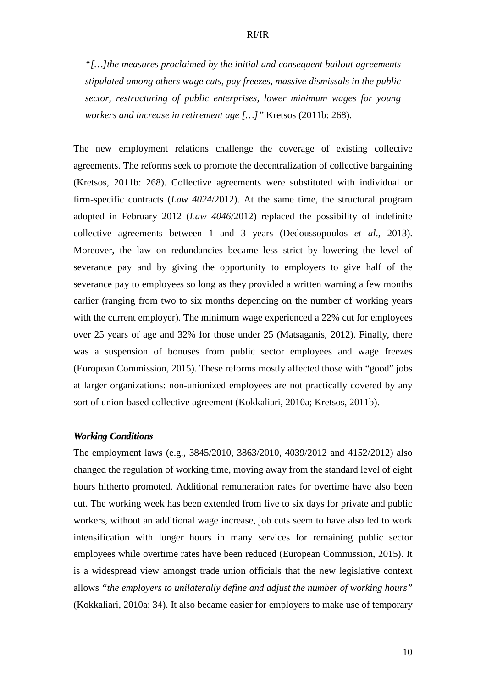*"[…]the measures proclaimed by the initial and consequent bailout agreements stipulated among others wage cuts, pay freezes, massive dismissals in the public sector, restructuring of public enterprises, lower minimum wages for young workers and increase in retirement age […]"* Kretsos (2011b: 268).

The new employment relations challenge the coverage of existing collective agreements. The reforms seek to promote the decentralization of collective bargaining (Kretsos, 2011b: 268). Collective agreements were substituted with individual or firm-specific contracts (*Law 4024*/2012). At the same time, the structural program adopted in February 2012 (*Law 4046*/2012) replaced the possibility of indefinite collective agreements between 1 and 3 years (Dedoussopoulos *et al*., 2013). Moreover, the law on redundancies became less strict by lowering the level of severance pay and by giving the opportunity to employers to give half of the severance pay to employees so long as they provided a written warning a few months earlier (ranging from two to six months depending on the number of working years with the current employer). The minimum wage experienced a 22% cut for employees over 25 years of age and 32% for those under 25 (Matsaganis, 2012). Finally, there was a suspension of bonuses from public sector employees and wage freezes (European Commission, 2015). These reforms mostly affected those with "good" jobs at larger organizations: non-unionized employees are not practically covered by any sort of union-based collective agreement (Kokkaliari, 2010a; Kretsos, 2011b).

## *Working Conditions*

The employment laws (e.g., 3845/2010, 3863/2010, 4039/2012 and 4152/2012) also changed the regulation of working time, moving away from the standard level of eight hours hitherto promoted. Additional remuneration rates for overtime have also been cut. The working week has been extended from five to six days for private and public workers, without an additional wage increase, job cuts seem to have also led to work intensification with longer hours in many services for remaining public sector employees while overtime rates have been reduced (European Commission, 2015). It is a widespread view amongst trade union officials that the new legislative context allows *"the employers to unilaterally define and adjust the number of working hours"* (Kokkaliari, 2010a: 34). It also became easier for employers to make use of temporary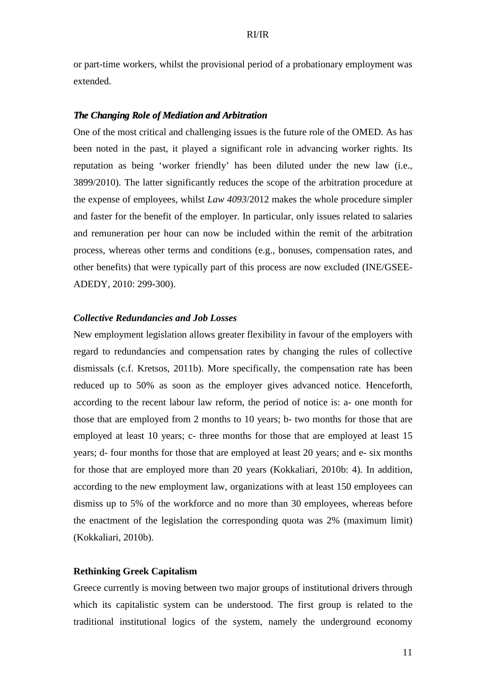or part-time workers, whilst the provisional period of a probationary employment was extended.

## *The Changing Role of Mediation and Arbitration*

One of the most critical and challenging issues is the future role of the OMED. As has been noted in the past, it played a significant role in advancing worker rights. Its reputation as being 'worker friendly' has been diluted under the new law (i.e., 3899/2010). The latter significantly reduces the scope of the arbitration procedure at the expense of employees, whilst *Law 4093*/2012 makes the whole procedure simpler and faster for the benefit of the employer. In particular, only issues related to salaries and remuneration per hour can now be included within the remit of the arbitration process, whereas other terms and conditions (e.g., bonuses, compensation rates, and other benefits) that were typically part of this process are now excluded (INE/GSEE-ADEDY, 2010: 299-300).

## *Collective Redundancies and Job Losses*

New employment legislation allows greater flexibility in favour of the employers with regard to redundancies and compensation rates by changing the rules of collective dismissals (c.f. Kretsos, 2011b). More specifically, the compensation rate has been reduced up to 50% as soon as the employer gives advanced notice. Henceforth, according to the recent labour law reform, the period of notice is: a- one month for those that are employed from 2 months to 10 years; b- two months for those that are employed at least 10 years; c- three months for those that are employed at least 15 years; d- four months for those that are employed at least 20 years; and e- six months for those that are employed more than 20 years (Kokkaliari, 2010b: 4). In addition, according to the new employment law, organizations with at least 150 employees can dismiss up to 5% of the workforce and no more than 30 employees, whereas before the enactment of the legislation the corresponding quota was 2% (maximum limit) (Kokkaliari, 2010b).

## **Rethinking Greek Capitalism**

Greece currently is moving between two major groups of institutional drivers through which its capitalistic system can be understood. The first group is related to the traditional institutional logics of the system, namely the underground economy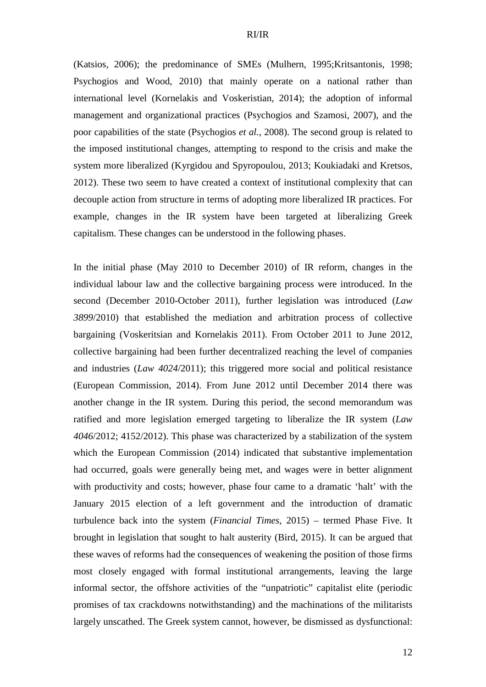(Katsios, 2006); the predominance of SMEs (Mulhern, 1995;Kritsantonis, 1998; Psychogios and Wood, 2010) that mainly operate on a national rather than international level (Kornelakis and Voskeristian, 2014); the adoption of informal management and organizational practices (Psychogios and Szamosi, 2007), and the poor capabilities of the state (Psychogios *et al.*, 2008). The second group is related to the imposed institutional changes, attempting to respond to the crisis and make the system more liberalized (Kyrgidou and Spyropoulou, 2013; Koukiadaki and Kretsos, 2012). These two seem to have created a context of institutional complexity that can decouple action from structure in terms of adopting more liberalized IR practices. For example, changes in the IR system have been targeted at liberalizing Greek capitalism. These changes can be understood in the following phases.

In the initial phase (May 2010 to December 2010) of IR reform, changes in the individual labour law and the collective bargaining process were introduced. In the second (December 2010-October 2011), further legislation was introduced (*Law 3899*/2010) that established the mediation and arbitration process of collective bargaining (Voskeritsian and Kornelakis 2011). From October 2011 to June 2012, collective bargaining had been further decentralized reaching the level of companies and industries (*Law 4024*/2011); this triggered more social and political resistance (European Commission, 2014). From June 2012 until December 2014 there was another change in the IR system. During this period, the second memorandum was ratified and more legislation emerged targeting to liberalize the IR system (*Law 4046*/2012; 4152/2012). This phase was characterized by a stabilization of the system which the European Commission (2014) indicated that substantive implementation had occurred, goals were generally being met, and wages were in better alignment with productivity and costs; however, phase four came to a dramatic 'halt' with the January 2015 election of a left government and the introduction of dramatic turbulence back into the system (*Financial Times*, 2015) – termed Phase Five. It brought in legislation that sought to halt austerity (Bird, 2015). It can be argued that these waves of reforms had the consequences of weakening the position of those firms most closely engaged with formal institutional arrangements, leaving the large informal sector, the offshore activities of the "unpatriotic" capitalist elite (periodic promises of tax crackdowns notwithstanding) and the machinations of the militarists largely unscathed. The Greek system cannot, however, be dismissed as dysfunctional: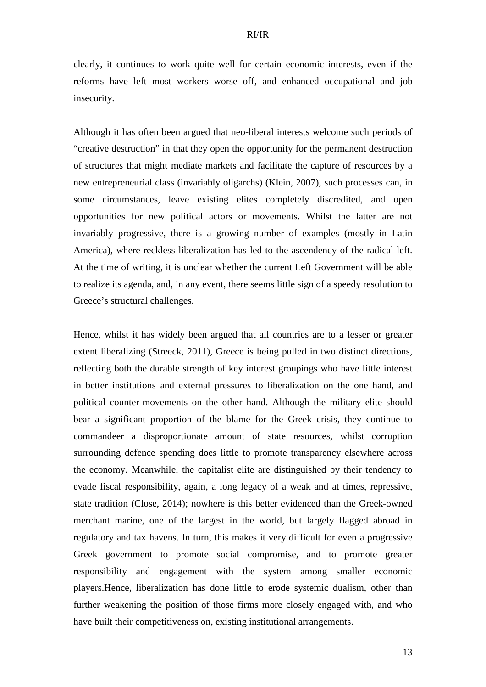clearly, it continues to work quite well for certain economic interests, even if the reforms have left most workers worse off, and enhanced occupational and job insecurity.

Although it has often been argued that neo-liberal interests welcome such periods of "creative destruction" in that they open the opportunity for the permanent destruction of structures that might mediate markets and facilitate the capture of resources by a new entrepreneurial class (invariably oligarchs) (Klein, 2007), such processes can, in some circumstances, leave existing elites completely discredited, and open opportunities for new political actors or movements. Whilst the latter are not invariably progressive, there is a growing number of examples (mostly in Latin America), where reckless liberalization has led to the ascendency of the radical left. At the time of writing, it is unclear whether the current Left Government will be able to realize its agenda, and, in any event, there seems little sign of a speedy resolution to Greece's structural challenges.

Hence, whilst it has widely been argued that all countries are to a lesser or greater extent liberalizing (Streeck, 2011), Greece is being pulled in two distinct directions, reflecting both the durable strength of key interest groupings who have little interest in better institutions and external pressures to liberalization on the one hand, and political counter-movements on the other hand. Although the military elite should bear a significant proportion of the blame for the Greek crisis, they continue to commandeer a disproportionate amount of state resources, whilst corruption surrounding defence spending does little to promote transparency elsewhere across the economy. Meanwhile, the capitalist elite are distinguished by their tendency to evade fiscal responsibility, again, a long legacy of a weak and at times, repressive, state tradition (Close, 2014); nowhere is this better evidenced than the Greek-owned merchant marine, one of the largest in the world, but largely flagged abroad in regulatory and tax havens. In turn, this makes it very difficult for even a progressive Greek government to promote social compromise, and to promote greater responsibility and engagement with the system among smaller economic players.Hence, liberalization has done little to erode systemic dualism, other than further weakening the position of those firms more closely engaged with, and who have built their competitiveness on, existing institutional arrangements.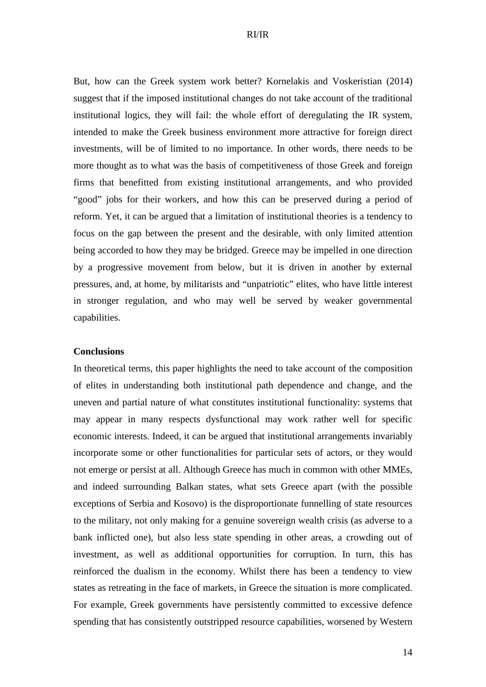But, how can the Greek system work better? Kornelakis and Voskeristian (2014) suggest that if the imposed institutional changes do not take account of the traditional institutional logics, they will fail: the whole effort of deregulating the IR system, intended to make the Greek business environment more attractive for foreign direct investments, will be of limited to no importance. In other words, there needs to be more thought as to what was the basis of competitiveness of those Greek and foreign firms that benefitted from existing institutional arrangements, and who provided "good" jobs for their workers, and how this can be preserved during a period of reform. Yet, it can be argued that a limitation of institutional theories is a tendency to focus on the gap between the present and the desirable, with only limited attention being accorded to how they may be bridged. Greece may be impelled in one direction by a progressive movement from below, but it is driven in another by external pressures, and, at home, by militarists and "unpatriotic" elites, who have little interest in stronger regulation, and who may well be served by weaker governmental capabilities.

## **Conclusions**

In theoretical terms, this paper highlights the need to take account of the composition of elites in understanding both institutional path dependence and change, and the uneven and partial nature of what constitutes institutional functionality: systems that may appear in many respects dysfunctional may work rather well for specific economic interests. Indeed, it can be argued that institutional arrangements invariably incorporate some or other functionalities for particular sets of actors, or they would not emerge or persist at all. Although Greece has much in common with other MMEs, and indeed surrounding Balkan states, what sets Greece apart (with the possible exceptions of Serbia and Kosovo) is the disproportionate funnelling of state resources to the military, not only making for a genuine sovereign wealth crisis (as adverse to a bank inflicted one), but also less state spending in other areas, a crowding out of investment, as well as additional opportunities for corruption. In turn, this has reinforced the dualism in the economy. Whilst there has been a tendency to view states as retreating in the face of markets, in Greece the situation is more complicated. For example, Greek governments have persistently committed to excessive defence spending that has consistently outstripped resource capabilities, worsened by Western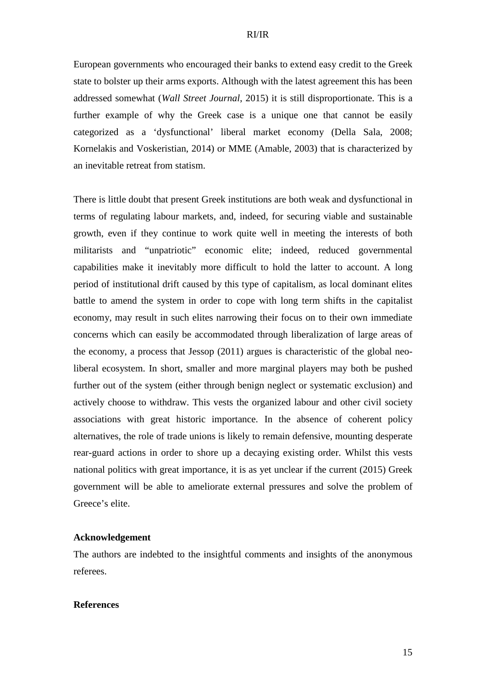European governments who encouraged their banks to extend easy credit to the Greek state to bolster up their arms exports. Although with the latest agreement this has been addressed somewhat (*Wall Street Journal*, 2015) it is still disproportionate. This is a further example of why the Greek case is a unique one that cannot be easily categorized as a 'dysfunctional' liberal market economy (Della Sala, 2008; Kornelakis and Voskeristian, 2014) or MME (Amable, 2003) that is characterized by an inevitable retreat from statism.

There is little doubt that present Greek institutions are both weak and dysfunctional in terms of regulating labour markets, and, indeed, for securing viable and sustainable growth, even if they continue to work quite well in meeting the interests of both militarists and "unpatriotic" economic elite; indeed, reduced governmental capabilities make it inevitably more difficult to hold the latter to account. A long period of institutional drift caused by this type of capitalism, as local dominant elites battle to amend the system in order to cope with long term shifts in the capitalist economy, may result in such elites narrowing their focus on to their own immediate concerns which can easily be accommodated through liberalization of large areas of the economy, a process that Jessop (2011) argues is characteristic of the global neoliberal ecosystem. In short, smaller and more marginal players may both be pushed further out of the system (either through benign neglect or systematic exclusion) and actively choose to withdraw. This vests the organized labour and other civil society associations with great historic importance. In the absence of coherent policy alternatives, the role of trade unions is likely to remain defensive, mounting desperate rear-guard actions in order to shore up a decaying existing order. Whilst this vests national politics with great importance, it is as yet unclear if the current (2015) Greek government will be able to ameliorate external pressures and solve the problem of Greece's elite.

## **Acknowledgement**

The authors are indebted to the insightful comments and insights of the anonymous referees.

## **References**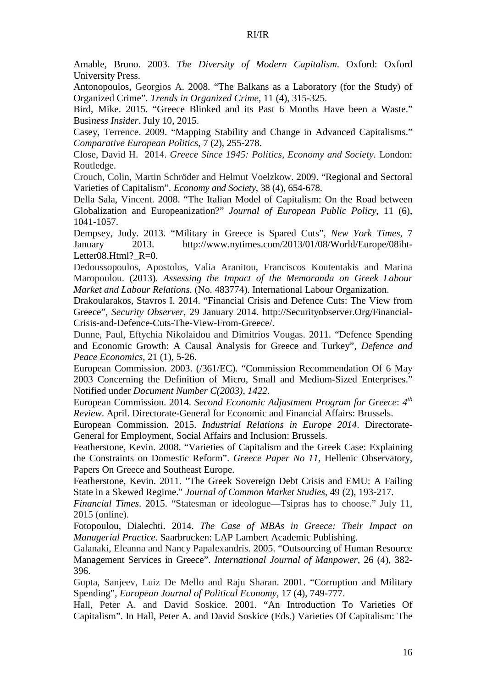Amable, Bruno. 2003. *The Diversity of Modern Capitalism*. Oxford: Oxford University Press.

Antonopoulos, Georgios A. 2008. "The Balkans as a Laboratory (for the Study) of Organized Crime". *Trends in Organized Crime*, 11 (4), 315-325.

Bird, Mike. 2015. "Greece Blinked and its Past 6 Months Have been a Waste." Busi*ness Insider*. July 10, 2015.

Casey, Terrence. 2009. "Mapping Stability and Change in Advanced Capitalisms." *Comparative European Politics*, 7 (2), 255-278.

Close, David H. 2014. *Greece Since 1945: Politics, Economy and Society*. London: Routledge.

Crouch, Colin, Martin Schröder and Helmut Voelzkow. 2009. "Regional and Sectoral Varieties of Capitalism". *Economy and Society*, 38 (4), 654-678.

Della Sala, Vincent. 2008. "The Italian Model of Capitalism: On the Road between Globalization and Europeanization?" *Journal of European Public Policy*, 11 (6), 1041-1057.

Dempsey, Judy. 2013. "Military in Greece is Spared Cuts", *New York Times*, 7 January 2013. http://www.nytimes.com/2013/01/08/World/Europe/08iht-Letter08.Html? $R=0$ .

Dedoussopoulos, Apostolos, Valia Aranitou, Franciscos Koutentakis and Marina Maropoulou. (2013). *Assessing the Impact of the Memoranda on Greek Labour Market and Labour Relations.* (No. 483774). International Labour Organization.

Drakoularakos, Stavros I. 2014. "Financial Crisis and Defence Cuts: The View from Greece", *Security Observer*, 29 January 2014. http://Securityobserver.Org/Financial-Crisis-and-Defence-Cuts-The-View-From-Greece/.

Dunne, Paul, Eftychia Nikolaidou and Dimitrios Vougas. 2011. "Defence Spending and Economic Growth: A Causal Analysis for Greece and Turkey", *Defence and Peace Economics*, 21 (1), 5-26.

European Commission. 2003. (/361/EC). "Commission Recommendation Of 6 May 2003 Concerning the Definition of Micro, Small and Medium-Sized Enterprises." Notified under *Document Number C(2003), 1422*.

European Commission. 2014. *Second Economic Adjustment Program for Greece*: *4 th Review*. April. Directorate-General for Economic and Financial Affairs: Brussels.

European Commission. 2015. *Industrial Relations in Europe 2014*. Directorate-General for Employment, Social Affairs and Inclusion: Brussels.

Featherstone, Kevin. 2008. "Varieties of Capitalism and the Greek Case: Explaining the Constraints on Domestic Reform". *Greece Paper No 11*, Hellenic Observatory, Papers On Greece and Southeast Europe.

Featherstone, Kevin. 2011. "The Greek Sovereign Debt Crisis and EMU: A Failing State in a Skewed Regime." *Journal of Common Market Studies*, 49 (2), 193-217.

*Financial Times*. 2015. "Statesman or ideologue—Tsipras has to choose." July 11, 2015 (online).

Fotopoulou, Dialechti. 2014. *The Case of MBAs in Greece: Their Impact on Managerial Practice.* Saarbrucken: LAP Lambert Academic Publishing.

Galanaki, Eleanna and Nancy Papalexandris. 2005. "Outsourcing of Human Resource Management Services in Greece". *International Journal of Manpower*, 26 (4), 382- 396.

Gupta, Sanjeev, Luiz De Mello and Raju Sharan. 2001. "Corruption and Military Spending", *European Journal of Political Economy*, 17 (4), 749-777.

Hall, Peter A. and David Soskice. 2001. "An Introduction To Varieties Of Capitalism". In Hall, Peter A. and David Soskice (Eds.) Varieties Of Capitalism: The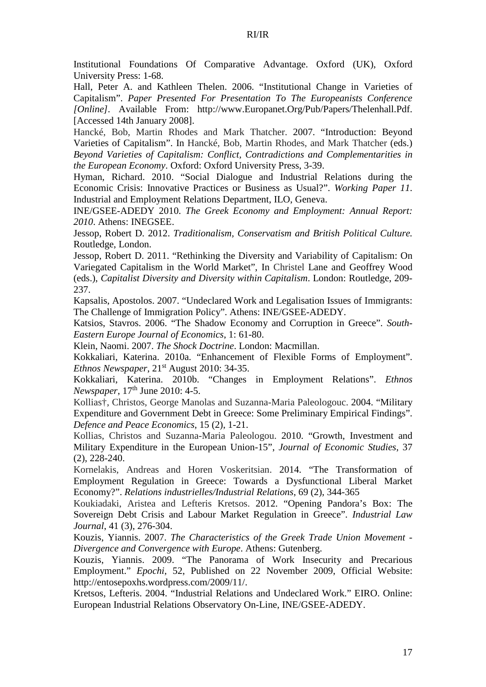Institutional Foundations Of Comparative Advantage. Oxford (UK), Oxford University Press: 1-68.

Hall, Peter A. and Kathleen Thelen. 2006. "Institutional Change in Varieties of Capitalism". *Paper Presented For Presentation To The Europeanists Conference [Online].* Available From: http://www.Europanet.Org/Pub/Papers/Thelenhall.Pdf. [Accessed 14th January 2008].

Hancké, Bob, Martin Rhodes and Mark Thatcher. 2007. "Introduction: Beyond Varieties of Capitalism". In Hancké, Bob, Martin Rhodes, and Mark Thatcher (eds.) *Beyond Varieties of Capitalism: Conflict, Contradictions and Complementarities in the European Economy*. Oxford: Oxford University Press, 3-39.

Hyman, Richard. 2010. "Social Dialogue and Industrial Relations during the Economic Crisis: Innovative Practices or Business as Usual?". *Working Paper 11*. Industrial and Employment Relations Department, ILO, Geneva.

INE/GSEE-ADEDY 2010. *The Greek Economy and Employment: Annual Report: 2010*. Athens: INEGSEE.

Jessop, Robert D. 2012. *Traditionalism, Conservatism and British Political Culture.* Routledge, London.

Jessop, Robert D. 2011. "Rethinking the Diversity and Variability of Capitalism: On Variegated Capitalism in the World Market", In Christel Lane and Geoffrey Wood (eds.), *Capitalist Diversity and Diversity within Capitalism*. London: Routledge, 209- 237.

Kapsalis, Apostolos. 2007. "Undeclared Work and Legalisation Issues of Immigrants: The Challenge of Immigration Policy". Athens: INE/GSEE-ADEDY.

Katsios, Stavros. 2006. "The Shadow Economy and Corruption in Greece". *South-Eastern Europe Journal of Economics*, 1: 61-80.

Klein, Naomi. 2007. *The Shock Doctrine*. London: Macmillan.

Kokkaliari, Katerina. 2010a. "Enhancement of Flexible Forms of Employment". *Ethnos Newspaper*,  $21^{st}$  August 2010: 34-35.

Kokkaliari, Katerina. 2010b. "Changes in Employment Relations". *Ethnos Newspaper*, 17<sup>th</sup> June 2010: 4-5.

Kollias†, Christos, George Manolas and Suzanna-Maria Paleologouc. 2004. "Military Expenditure and Government Debt in Greece: Some Preliminary Empirical Findings". *Defence and Peace Economics*, 15 (2), 1-21.

Kollias, Christos and Suzanna-Maria Paleologou. 2010. "Growth, Investment and Military Expenditure in the European Union-15", *Journal of Economic Studies*, 37 (2), 228-240.

Kornelakis, Andreas and Horen Voskeritsian. 2014. "The Transformation of Employment Regulation in Greece: Towards a Dysfunctional Liberal Market Economy?". *Relations industrielles/Industrial Relations*, 69 (2), 344-365

Koukiadaki, Aristea and Lefteris Kretsos. 2012. "Opening Pandora's Box: The Sovereign Debt Crisis and Labour Market Regulation in Greece". *Industrial Law Journal*, 41 (3), 276-304.

Kouzis, Yiannis. 2007. *The Characteristics of the Greek Trade Union Movement - Divergence and Convergence with Europe*. Athens: Gutenberg.

Kouzis, Yiannis. 2009. "The Panorama of Work Insecurity and Precarious Employment." *Epochi*, 52, Published on 22 November 2009, Official Website: http://entosepoxhs.wordpress.com/2009/11/.

Kretsos, Lefteris. 2004. "Industrial Relations and Undeclared Work." EIRO. Online: European Industrial Relations Observatory On-Line, INE/GSEE-ADEDY.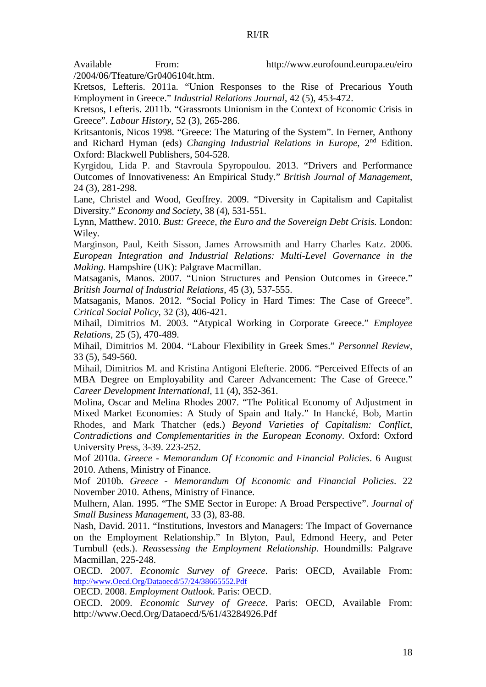Available From: http://www.eurofound.europa.eu/eiro

/2004/06/Tfeature/Gr0406104t.htm.

Kretsos, Lefteris. 2011a. "Union Responses to the Rise of Precarious Youth Employment in Greece." *Industrial Relations Journal*, 42 (5), 453-472.

Kretsos, Lefteris. 2011b. "Grassroots Unionism in the Context of Economic Crisis in Greece". *Labour History*, 52 (3), 265-286.

Kritsantonis, Nicos 1998. "Greece: The Maturing of the System". In Ferner, Anthony and Richard Hyman (eds) *Changing Industrial Relations in Europe*, 2nd Edition. Oxford: Blackwell Publishers, 504-528.

Kyrgidou, Lida P. and Stavroula Spyropoulou. 2013. "Drivers and Performance Outcomes of Innovativeness: An Empirical Study." *British Journal of Management*, 24 (3), 281-298.

Lane, Christel and Wood, Geoffrey. 2009. "Diversity in Capitalism and Capitalist Diversity." *Economy and Society*, 38 (4), 531-551.

Lynn, Matthew. 2010. *Bust: Greece, the Euro and the Sovereign Debt Crisis.* London: Wiley*.*

Marginson, Paul, Keith Sisson, James Arrowsmith and Harry Charles Katz. 2006. *European Integration and Industrial Relations: Multi-Level Governance in the Making.* Hampshire (UK): Palgrave Macmillan.

Matsaganis, Manos. 2007. "Union Structures and Pension Outcomes in Greece." *British Journal of Industrial Relations*, 45 (3), 537-555.

Matsaganis, Manos. 2012. "Social Policy in Hard Times: The Case of Greece". *Critical Social Policy*, 32 (3), 406-421.

Mihail, Dimitrios M. 2003. "Atypical Working in Corporate Greece." *Employee Relations*, 25 (5), 470-489.

Mihail, Dimitrios M. 2004. "Labour Flexibility in Greek Smes." *Personnel Review*, 33 (5), 549-560.

Mihail, Dimitrios M. and Kristina Antigoni Elefterie. 2006. "Perceived Effects of an MBA Degree on Employability and Career Advancement: The Case of Greece." *Career Development International,* 11 (4), 352-361.

Molina, Oscar and Melina Rhodes 2007. "The Political Economy of Adjustment in Mixed Market Economies: A Study of Spain and Italy." In Hancké, Bob, Martin Rhodes, and Mark Thatcher (eds.) *Beyond Varieties of Capitalism: Conflict, Contradictions and Complementarities in the European Economy*. Oxford: Oxford University Press, 3-39. 223-252.

Mof 2010a. *Greece - Memorandum Of Economic and Financial Policies*. 6 August 2010. Athens, Ministry of Finance.

Mof 2010b. *Greece - Memorandum Of Economic and Financial Policies*. 22 November 2010. Athens, Ministry of Finance.

Mulhern, Alan. 1995. "The SME Sector in Europe: A Broad Perspective". *Journal of Small Business Management*, 33 (3), 83-88.

Nash, David. 2011. "Institutions, Investors and Managers: The Impact of Governance on the Employment Relationship." In Blyton, Paul, Edmond Heery, and Peter Turnbull (eds.). *Reassessing the Employment Relationship*. Houndmills: Palgrave Macmillan, 225-248.

OECD. 2007. *Economic Survey of Greece*. Paris: OECD, Available From: http://www.Oecd.Org/Dataoecd/57/24/38665552.Pdf

OECD. 2008. *Employment Outlook*. Paris: OECD.

OECD. 2009. *Economic Survey of Greece*. Paris: OECD, Available From: http://www.Oecd.Org/Dataoecd/5/61/43284926.Pdf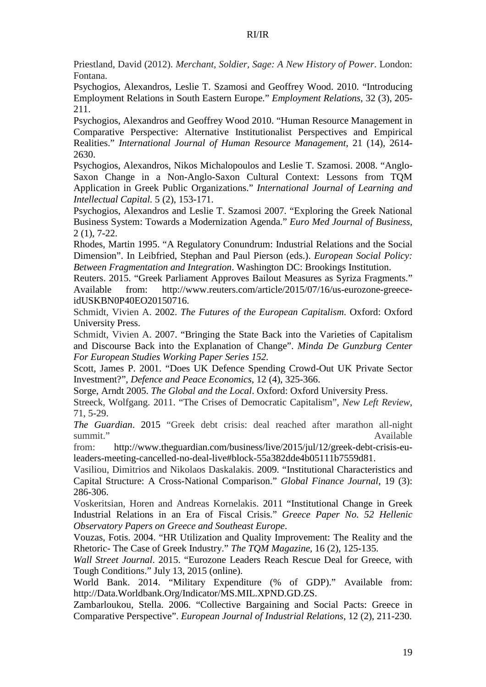Priestland, David (2012). *Merchant, Soldier, Sage: A New History of Power*. London: Fontana.

Psychogios, Alexandros, Leslie T. Szamosi and Geoffrey Wood. 2010. "Introducing Employment Relations in South Eastern Europe." *Employment Relations*, 32 (3), 205- 211.

Psychogios, Alexandros and Geoffrey Wood 2010. "Human Resource Management in Comparative Perspective: Alternative Institutionalist Perspectives and Empirical Realities." *International Journal of Human Resource Management*, 21 (14), 2614- 2630.

Psychogios, Alexandros, Nikos Michalopoulos and Leslie T. Szamosi. 2008. "Anglo-Saxon Change in a Non-Anglo-Saxon Cultural Context: Lessons from TQM Application in Greek Public Organizations." *International Journal of Learning and Intellectual Capital.* 5 (2), 153-171.

Psychogios, Alexandros and Leslie T. Szamosi 2007. "Exploring the Greek National Business System: Towards a Modernization Agenda." *Euro Med Journal of Business*, 2 (1), 7-22.

Rhodes, Martin 1995. "A Regulatory Conundrum: Industrial Relations and the Social Dimension". In Leibfried, Stephan and Paul Pierson (eds.). *European Social Policy: Between Fragmentation and Integration*. Washington DC: Brookings Institution.

Reuters. 2015. "Greek Parliament Approves Bailout Measures as Syriza Fragments." Available from: http://www.reuters.com/article/2015/07/16/us-eurozone-greeceidUSKBN0P40EO20150716.

Schmidt, Vivien A. 2002. *The Futures of the European Capit*a*lism*. Oxford: Oxford University Press.

Schmidt, Vivien A. 2007. "Bringing the State Back into the Varieties of Capitalism and Discourse Back into the Explanation of Change". *Minda De Gunzburg Center For European Studies Working Paper Series 152.* 

Scott, James P. 2001. "Does UK Defence Spending Crowd-Out UK Private Sector Investment?", *Defence and Peace Economics*, 12 (4), 325-366.

Sorge, Arndt 2005. *The Global and the Local*. Oxford: Oxford University Press.

Streeck, Wolfgang. 2011. "The Crises of Democratic Capitalism", *New Left Review*, 71, 5-29.

*The Guardian*. 2015 "Greek debt crisis: deal reached after marathon all-night summit." Available

from: http://www.theguardian.com/business/live/2015/jul/12/greek-debt-crisis-euleaders-meeting-cancelled-no-deal-live#block-55a382dde4b05111b7559d81.

Vasiliou, Dimitrios and Nikolaos Daskalakis. 2009. "Institutional Characteristics and Capital Structure: A Cross-National Comparison." *Global Finance Journal*, 19 (3): 286-306.

Voskeritsian, Horen and Andreas Kornelakis. 2011 "Institutional Change in Greek Industrial Relations in an Era of Fiscal Crisis." *Greece Paper No. 52 Hellenic Observatory Papers on Greece and Southeast Europe*.

Vouzas, Fotis. 2004. "HR Utilization and Quality Improvement: The Reality and the Rhetoric- The Case of Greek Industry." *The TQM Magazine,* 16 (2), 125-135.

*Wall Street Journal*. 2015. "Eurozone Leaders Reach Rescue Deal for Greece, with Tough Conditions." July 13, 2015 (online).

World Bank. 2014. "Military Expenditure (% of GDP)." Available from: http://Data.Worldbank.Org/Indicator/MS.MIL.XPND.GD.ZS.

Zambarloukou, Stella. 2006. "Collective Bargaining and Social Pacts: Greece in Comparative Perspective". *European Journal of Industrial Relations*, 12 (2), 211-230.